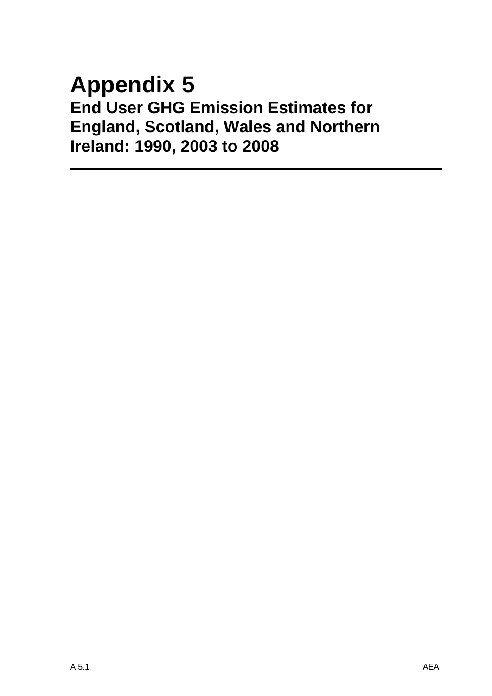# **Appendix 5 End User GHG Emission Estimates for England, Scotland, Wales and Northern Ireland: 1990, 2003 to 2008**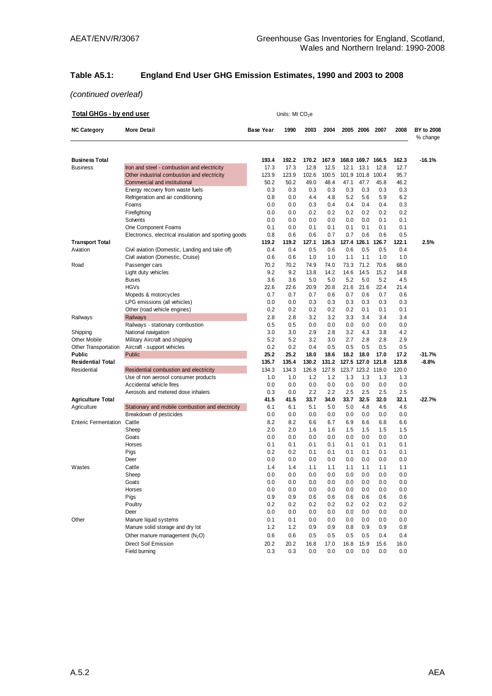## **Table A5.1: England End User GHG Emission Estimates, 1990 and 2003 to 2008**

| <b>Total GHGs - by end user</b> |                                                       |                  | Units: Mt CO <sub>2</sub> e |              |            |            |                   |              |            |                               |
|---------------------------------|-------------------------------------------------------|------------------|-----------------------------|--------------|------------|------------|-------------------|--------------|------------|-------------------------------|
| <b>NC Category</b>              | <b>More Detail</b>                                    | <b>Base Year</b> | 1990                        | 2003         | 2004       |            | 2005 2006         | 2007         | 2008       | <b>BY to 2008</b><br>% change |
| <b>Business Total</b>           |                                                       | 193.4            | 192.2                       | 170.2        | 167.9      |            | 168.0 169.7 166.5 |              | 162.3      | $-16.1%$                      |
| <b>Business</b>                 | Iron and steel - combustion and electricity           | 17.3             | 17.3                        | 12.8         | 12.5       | 12.1       | 13.1              | 12.8         | 12.7       |                               |
|                                 | Other industrial combustion and electricity           | 123.9            | 123.9                       | 102.6        | 100.5      |            | 101.9 101.8       | 100.4        | 95.7       |                               |
|                                 | Commercial and institutional                          | 50.2             | 50.2                        | 49.0         | 48.4       | 47.1       | 47.7              | 45.8         | 46.2       |                               |
|                                 | Energy recovery from waste fuels                      | 0.3              | 0.3                         | 0.3          | 0.3        | 0.3        | 0.3               | 0.3          | 0.3        |                               |
|                                 | Refrigeration and air conditioning                    | 0.8              | 0.0                         | 4.4          | 4.8        | 5.2        | 5.6               | 5.9          | 6.2        |                               |
|                                 | Foams                                                 | 0.0              | 0.0                         | 0.3          | 0.4        | 0.4        | 0.4               | 0.4          | 0.3        |                               |
|                                 | Firefighting                                          | 0.0              | 0.0                         | 0.2          | 0.2        | 0.2        | 0.2               | 0.2          | 0.2        |                               |
|                                 | Solvents                                              | 0.0              | 0.0                         | 0.0          | 0.0        | 0.0        | 0.0               | 0.1          | 0.1        |                               |
|                                 | One Component Foams                                   | 0.1<br>0.8       | 0.0                         | 0.1          | 0.1<br>0.7 | 0.1<br>0.7 | 0.1<br>0.6        | 0.1          | 0.1<br>0.5 |                               |
| <b>Transport Total</b>          | Electronics, electrical insulation and sporting goods | 119.2            | 0.6<br>119.2                | 0.6<br>127.1 | 126.3      |            | 127.4 126.1       | 0.6<br>126.7 | 122.1      | 2.5%                          |
| Aviation                        | Civil aviation (Domestic, Landing and take off)       | 0.4              | 0.4                         | 0.5          | 0.6        | 0.6        | 0.5               | 0.5          | 0.4        |                               |
|                                 | Civil aviation (Domestic, Cruise)                     | 0.6              | 0.6                         | 1.0          | 1.0        | 1.1        | 1.1               | 1.0          | 1.0        |                               |
| Road                            | Passenger cars                                        | 70.2             | 70.2                        | 74.9         | 74.0       | 73.3       | 71.2              | 70.6         | 68.0       |                               |
|                                 | Light duty vehicles                                   | 9.2              | 9.2                         | 13.8         | 14.2       | 14.6       | 14.5              | 15.2         | 14.8       |                               |
|                                 | <b>Buses</b>                                          | 3.6              | 3.6                         | 5.0          | 5.0        | 5.2        | 5.0               | 5.2          | 4.5        |                               |
|                                 | <b>HGVs</b>                                           | 22.6             | 22.6                        | 20.9         | 20.8       | 21.6       | 21.6              | 22.4         | 21.4       |                               |
|                                 | Mopeds & motorcycles                                  | 0.7              | 0.7                         | 0.7          | 0.6        | 0.7        | 0.6               | 0.7          | 0.6        |                               |
|                                 | LPG emissions (all vehicles)                          | 0.0              | 0.0                         | 0.3          | 0.3        | 0.3        | 0.3               | 0.3          | 0.3        |                               |
|                                 | Other (road vehicle engines)                          | 0.2              | 0.2                         | 0.2          | 0.2        | 0.2        | 0.1               | 0.1          | 0.1        |                               |
| Railways                        | Railways                                              | 2.8              | 2.8                         | 3.2          | 3.2        | 3.3        | 3.4               | 3.4          | 3.4        |                               |
|                                 | Railways - stationary combustion                      | 0.5              | 0.5                         | 0.0          | 0.0        | 0.0        | 0.0               | 0.0          | 0.0        |                               |
| Shipping                        | National navigation                                   | 3.0              | 3.0                         | 2.9          | 2.8        | 3.2        | 4.3               | 3.8          | 4.2        |                               |
| <b>Other Mobile</b>             | Military Aircraft and shipping                        | 5.2              | 5.2                         | 3.2          | 3.0        | 2.7        | 2.8               | 2.8          | 2.9        |                               |
| Other Transportation            | Aircraft - support vehicles                           | 0.2              | 0.2                         | 0.4          | 0.5        | 0.5        | 0.5               | 0.5          | 0.5        |                               |
| Public                          | Public                                                | 25.2             | 25.2                        | 18.0         | 18.6       | 18.2       | 18.0              | 17.0         | 17.2       | $-31.7%$                      |
| <b>Residential Total</b>        |                                                       | 135.7            | 135.4                       | 130.2        | 131.2      |            | 127.5 127.0 121.8 |              | 123.8      | $-8.8%$                       |
| Residential                     | Residential combustion and electricity                | 134.3            | 134.3                       | 126.8        | 127.8      |            | 123.7 123.2 118.0 |              | 120.0      |                               |
|                                 | Use of non aerosol consumer products                  | 1.0              | 1.0                         | 1.2          | 1.2        | 1.3        | 1.3               | 1.3          | 1.3        |                               |
|                                 | Accidental vehicle fires                              | 0.0              | 0.0                         | 0.0          | 0.0        | 0.0        | 0.0               | 0.0          | 0.0        |                               |
|                                 | Aerosols and metered dose inhalers                    | 0.3              | 0.0                         | 2.2          | 2.2        | 2.5        | 2.5               | 2.5          | 2.5        |                               |
| <b>Agriculture Total</b>        |                                                       | 41.5             | 41.5                        | 33.7         | 34.0       | 33.7       | 32.5              | 32.0         | 32.1       | $-22.7%$                      |
| Agriculture                     | Stationary and mobile combustion and electricity      | 6.1              | 6.1                         | 5.1          | 5.0        | 5.0        | 4.8               | 4.6          | 4.6        |                               |
|                                 | Breakdown of pesticides                               | 0.0              | 0.0                         | 0.0          | 0.0        | 0.0        | 0.0               | 0.0          | 0.0        |                               |
| <b>Enteric Fermentation</b>     | Cattle                                                | 8.2              | 8.2                         | 6.6          | 6.7        | 6.9        | 6.6               | 6.8          | 6.6        |                               |
|                                 | Sheep                                                 | 2.0              | 2.0                         | 1.6          | 1.6        | 1.5        | 1.5               | 1.5          | 1.5        |                               |
|                                 | Goats                                                 | 0.0              | 0.0                         | 0.0          | 0.0        | 0.0        | 0.0               | 0.0          | 0.0        |                               |
|                                 | Horses                                                | 0.1              | 0.1                         | 0.1          | 0.1        | 0.1        | 0.1               | 0.1          | 0.1        |                               |
|                                 | Pigs                                                  | 0.2              | 0.2                         | 0.1          | 0.1        | 0.1        | 0.1               | 0.1          | 0.1<br>0.0 |                               |
| Wastes                          | Deer<br>Cattle                                        | 0.0<br>1.4       | 0.0<br>1.4                  | 0.0<br>1.1   | 0.0<br>1.1 | 0.0<br>1.1 | 0.0<br>1.1        | 0.0<br>1.1   | 1.1        |                               |
|                                 | Sheep                                                 | 0.0              | 0.0                         | 0.0          | 0.0        | 0.0        | 0.0               | 0.0          | 0.0        |                               |
|                                 | Goats                                                 | 0.0              | 0.0                         | 0.0          | 0.0        | 0.0        | 0.0               | 0.0          | 0.0        |                               |
|                                 | Horses                                                | 0.0              | 0.0                         | 0.0          | 0.0        | 0.0        | 0.0               | 0.0          | 0.0        |                               |
|                                 | Pigs                                                  | 0.9              | 0.9                         | 0.6          | 0.6        | 0.6        | 0.6               | 0.6          | 0.6        |                               |
|                                 | Poultry                                               | 0.2              | 0.2                         | 0.2          | 0.2        | 0.2        | 0.2               | 0.2          | 0.2        |                               |
|                                 | Deer                                                  | 0.0              | 0.0                         | 0.0          | 0.0        | 0.0        | 0.0               | 0.0          | 0.0        |                               |
| Other                           | Manure liquid systems                                 | 0.1              | 0.1                         | 0.0          | 0.0        | 0.0        | 0.0               | 0.0          | 0.0        |                               |
|                                 | Manure solid storage and dry lot                      | 1.2              | 1.2                         | 0.9          | 0.9        | 0.8        | 0.9               | 0.9          | 0.8        |                               |
|                                 | Other manure management $(N2O)$                       | 0.6              | 0.6                         | 0.5          | 0.5        | 0.5        | 0.5               | 0.4          | 0.4        |                               |
|                                 | <b>Direct Soil Emission</b>                           | 20.2             | 20.2                        | 16.8         | 17.0       | 16.8       | 15.9              | 15.6         | 16.0       |                               |
|                                 | Field burning                                         | 0.3              | 0.3                         | 0.0          | 0.0        | 0.0        | 0.0               | 0.0          | 0.0        |                               |
|                                 |                                                       |                  |                             |              |            |            |                   |              |            |                               |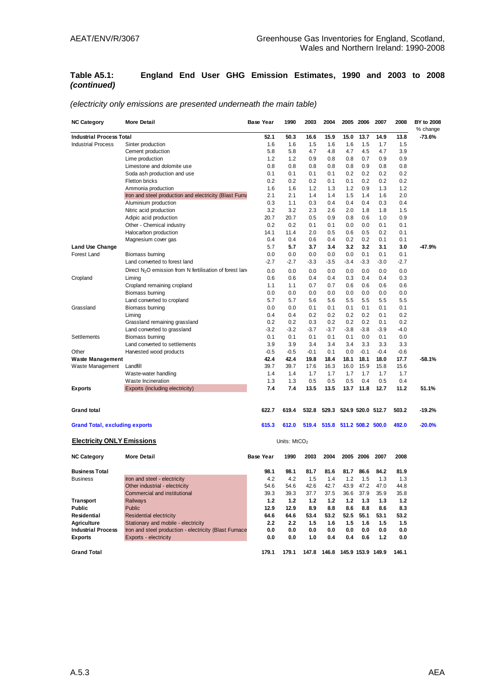#### **Table A5.1: England End User GHG Emission Estimates, 1990 and 2003 to 2008**  *(continued)*

| <b>NC Category</b>                    | <b>More Detail</b>                                                  | Base Year        | 1990           | 2003   | 2004   |        | 2005 2006 | 2007              | 2008   | BY to 2008<br>% change |
|---------------------------------------|---------------------------------------------------------------------|------------------|----------------|--------|--------|--------|-----------|-------------------|--------|------------------------|
| <b>Industrial Process Total</b>       |                                                                     | 52.1             | 50.3           | 16.6   | 15.9   | 15.0   | 13.7      | 14.9              | 13.8   | $-73.6%$               |
| <b>Industrial Process</b>             | Sinter production                                                   | 1.6              | 1.6            | 1.5    | 1.6    | 1.6    | 1.5       | 1.7               | 1.5    |                        |
|                                       | Cement production                                                   | 5.8              | 5.8            | 4.7    | 4.8    | 4.7    | 4.5       | 4.7               | 3.9    |                        |
|                                       | Lime production                                                     | 1.2              | 1.2            | 0.9    | 0.8    | 0.8    | 0.7       | 0.9               | 0.9    |                        |
|                                       | Limestone and dolomite use                                          | 0.8              | 0.8            | 0.8    | 0.8    | 0.8    | 0.9       | 0.8               | 0.8    |                        |
|                                       | Soda ash production and use                                         | 0.1              | 0.1            | 0.1    | 0.1    | 0.2    | 0.2       | 0.2               | 0.2    |                        |
|                                       | <b>Fletton bricks</b>                                               | 0.2              | 0.2            | 0.2    | 0.1    | 0.1    | 0.2       | 0.2               | 0.2    |                        |
|                                       | Ammonia production                                                  | 1.6              | 1.6            | 1.2    | 1.3    | 1.2    | 0.9       | 1.3               | 1.2    |                        |
|                                       | Iron and steel production and electricity (Blast Furna              | 2.1              | 2.1            | 1.4    | 1.4    | 1.5    | 1.4       | 1.6               | 2.0    |                        |
|                                       | Aluminium production                                                | 0.3              | 1.1            | 0.3    | 0.4    | 0.4    | 0.4       | 0.3               | 0.4    |                        |
|                                       | Nitric acid production                                              | 3.2              | 3.2            | 2.3    | 2.6    | 2.0    | 1.8       | 1.8               | 1.5    |                        |
|                                       | Adipic acid production                                              | 20.7             | 20.7           | 0.5    | 0.9    | 0.8    | 0.6       | 1.0               | 0.9    |                        |
|                                       | Other - Chemical industry                                           | 0.2              | 0.2            | 0.1    | 0.1    | 0.0    | 0.0       | 0.1               | 0.1    |                        |
|                                       | Halocarbon production                                               | 14.1             | 11.4           | 2.0    | 0.5    | 0.6    | 0.5       | 0.2               | 0.1    |                        |
|                                       | Magnesium cover gas                                                 | 0.4              | 0.4            | 0.6    | 0.4    | 0.2    | 0.2       | 0.1               | 0.1    |                        |
| <b>Land Use Change</b>                |                                                                     | 5.7              | 5.7            | 3.7    | 3.4    | 3.2    | 3.2       | 3.1               | 3.0    | $-47.9%$               |
| <b>Forest Land</b>                    | Biomass burning                                                     | 0.0              | 0.0            | 0.0    | 0.0    | 0.0    | 0.1       | 0.1               | 0.1    |                        |
|                                       | Land converted to forest land                                       | -2.7             | $-2.7$         | $-3.3$ | $-3.5$ | $-3.4$ | $-3.3$    | $-3.0$            | $-2.7$ |                        |
|                                       |                                                                     |                  |                |        |        |        |           |                   |        |                        |
|                                       | Direct N <sub>2</sub> O emission from N fertilisation of forest lan | 0.0              | 0.0            | 0.0    | 0.0    | 0.0    | 0.0       | 0.0               | 0.0    |                        |
| Cropland                              | Liming                                                              | 0.6              | 0.6            | 0.4    | 0.4    | 0.3    | 0.4       | 0.4               | 0.3    |                        |
|                                       | Cropland remaining cropland                                         | 1.1              | 1.1            | 0.7    | 0.7    | 0.6    | 0.6       | 0.6               | 0.6    |                        |
|                                       | Biomass burning                                                     | 0.0              | 0.0            | 0.0    | 0.0    | 0.0    | 0.0       | 0.0               | 0.0    |                        |
|                                       | Land converted to cropland                                          | 5.7              | 5.7            | 5.6    | 5.6    | 5.5    | 5.5       | 5.5               | 5.5    |                        |
| Grassland                             | Biomass burning                                                     | 0.0              | 0.0            | 0.1    | 0.1    | 0.1    | 0.1       | 0.1               | 0.1    |                        |
|                                       | Liming                                                              | 0.4              | 0.4            | 0.2    | 0.2    | 0.2    | 0.2       | 0.1               | 0.2    |                        |
|                                       | Grassland remaining grassland                                       | 0.2              | 0.2            | 0.3    | 0.2    | 0.2    | 0.2       | 0.1               | 0.2    |                        |
|                                       | Land converted to grassland                                         | $-3.2$           | $-3.2$         | $-3.7$ | $-3.7$ | $-3.8$ | $-3.8$    | $-3.9$            | $-4.0$ |                        |
| <b>Settlements</b>                    | Biomass burning                                                     | 0.1              | 0.1            | 0.1    | 0.1    | 0.1    | 0.0       | 0.1               | 0.0    |                        |
|                                       | Land converted to settlements                                       | 3.9              | 3.9            | 3.4    | 3.4    | 3.4    | 3.3       | 3.3               | 3.3    |                        |
| Other                                 | Harvested wood products                                             | $-0.5$           | $-0.5$         | $-0.1$ | 0.1    | 0.0    | $-0.1$    | $-0.4$            | $-0.6$ |                        |
| <b>Waste Management</b>               |                                                                     | 42.4             | 42.4           | 19.8   | 18.4   | 18.1   | 18.1      | 18.0              | 17.7   | $-58.1%$               |
| Waste Management                      | Landfill                                                            | 39.7             | 39.7           | 17.6   | 16.3   | 16.0   | 15.9      | 15.8              | 15.6   |                        |
|                                       | Waste-water handling                                                | 1.4              | 1.4            | 1.7    | 1.7    | 1.7    | 1.7       | 1.7               | 1.7    |                        |
|                                       | Waste Incineration                                                  | 1.3              | 1.3            | 0.5    | 0.5    | 0.5    | 0.4       | 0.5               | 0.4    |                        |
| <b>Exports</b>                        | Exports (including electricity)                                     | 7.4              | 7.4            | 13.5   | 13.5   | 13.7   | 11.8      | 12.7              | 11.2   | 51.1%                  |
| <b>Grand total</b>                    |                                                                     | 622.7            | 619.4          | 532.8  | 529.3  |        |           | 524.9 520.0 512.7 | 503.2  | -19.2%                 |
| <b>Grand Total, excluding exports</b> |                                                                     | 615.3            | 612.0          | 519.4  | 515.8  |        |           | 511.2 508.2 500.0 | 492.0  | $-20.0%$               |
|                                       |                                                                     |                  |                |        |        |        |           |                   |        |                        |
| <b>Electricity ONLY Emissions</b>     |                                                                     |                  | Units: $MtCO2$ |        |        |        |           |                   |        |                        |
| <b>NC Category</b>                    | <b>More Detail</b>                                                  | <b>Base Year</b> | 1990           | 2003   | 2004   | 2005   | 2006      | 2007              | 2008   |                        |
| <b>Business Total</b>                 |                                                                     | 98.1             | 98.1           | 81.7   | 81.6   | 81.7   | 86.6      | 84.2              | 81.9   |                        |
| <b>Business</b>                       | Iron and steel - electricity                                        | 4.2              | 4.2            | 1.5    | 1.4    | 1.2    | 1.5       | 1.3               | 1.3    |                        |
|                                       | Other industrial - electricity                                      | 54.6             | 54.6           | 42.6   | 42.7   | 43.9   | 47.2      | 47.0              | 44.8   |                        |
|                                       | Commercial and institutional                                        | 39.3             | 39.3           | 37.7   | 37.5   | 36.6   | 37.9      | 35.9              | 35.8   |                        |

**Transport** Railways **1.2 1.2 1.2 1.2 1.2 1.3 1.3 1.2 Public** Public **12.9 12.9 8.9 8.8 8.6 8.8 8.6 8.3 Residential** Residential electricity **64.6 64.6 53.4 53.2 52.5 55.1 53.1 53.2 Agriculture** Stationary and mobile - electricity **2.2 2.2 1.5 1.6 1.5 1.6 1.5 1.5 Industrial Process Iron and steel production - electricity (Blast Furnace 0.0 <b>0.0 0.0 0.0 0.0 0.0 0.0 0.0 0.0 0.0 1.0 0.4 0.6 1.2 0.0 0.0 1.0 0.0 1.0 0.4 0.6 1.2 0.0** 

**Exports** Exports - electricity **0.0 0.0 1.0 0.4 0.4 0.6 1.2 0.0**

#### *(electricity only emissions are presented underneath the main table)*

**Grand Total 179.1 179.1 147.8 146.8 145.9 153.9 149.9 146.1**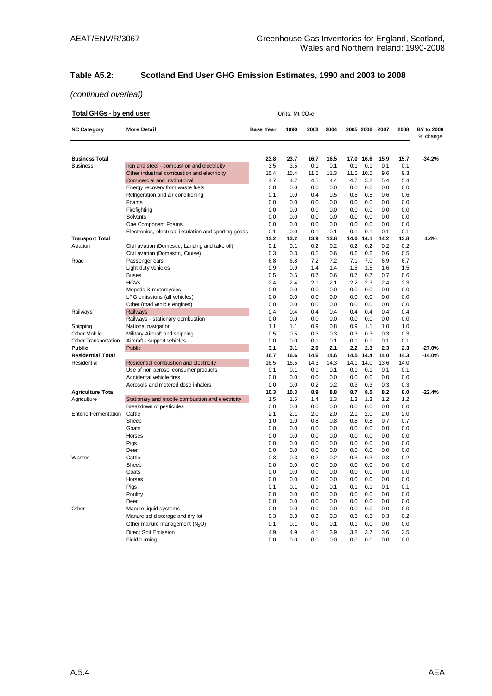# **Table A5.2: Scotland End User GHG Emission Estimates, 1990 and 2003 to 2008**

| <b>Total GHGs - by end user</b> |                                                       | Units: Mt $CO2e$ |      |      |      |      |           |      |      |                        |
|---------------------------------|-------------------------------------------------------|------------------|------|------|------|------|-----------|------|------|------------------------|
| <b>NC Category</b>              | <b>More Detail</b>                                    | <b>Base Year</b> | 1990 | 2003 | 2004 |      | 2005 2006 | 2007 | 2008 | BY to 2008<br>% change |
| <b>Business Total</b>           |                                                       | 23.8             | 23.7 | 16.7 | 16.5 | 17.0 | 16.6      | 15.9 | 15.7 | $-34.2%$               |
| <b>Business</b>                 | Iron and steel - combustion and electricity           | 3.5              | 3.5  | 0.1  | 0.1  | 0.1  | 0.1       | 0.1  | 0.1  |                        |
|                                 | Other industrial combustion and electricity           | 15.4             | 15.4 | 11.5 | 11.3 | 11.5 | 10.5      | 9.6  | 9.3  |                        |
|                                 | Commercial and institutional                          | 4.7              | 4.7  | 4.5  | 4.4  | 4.7  | 5.2       | 5.4  | 5.4  |                        |
|                                 | Energy recovery from waste fuels                      | 0.0              | 0.0  | 0.0  | 0.0  | 0.0  | 0.0       | 0.0  | 0.0  |                        |
|                                 | Refrigeration and air conditioning                    | 0.1              | 0.0  | 0.4  | 0.5  | 0.5  | 0.5       | 0.6  | 0.6  |                        |
|                                 | Foams                                                 | 0.0              | 0.0  | 0.0  | 0.0  | 0.0  | 0.0       | 0.0  | 0.0  |                        |
|                                 | Firefighting                                          | 0.0              | 0.0  | 0.0  | 0.0  | 0.0  | 0.0       | 0.0  | 0.0  |                        |
|                                 | Solvents                                              | 0.0              | 0.0  | 0.0  | 0.0  | 0.0  | 0.0       | 0.0  | 0.0  |                        |
|                                 | One Component Foams                                   | 0.0              | 0.0  | 0.0  | 0.0  | 0.0  | 0.0       | 0.0  | 0.0  |                        |
|                                 | Electronics, electrical insulation and sporting goods | 0.1              | 0.0  | 0.1  | 0.1  | 0.1  | 0.1       | 0.1  | 0.1  |                        |
| <b>Transport Total</b>          |                                                       | 13.2             | 13.2 | 13.9 | 13.8 | 14.0 | 14.1      | 14.2 | 13.8 | 4.4%                   |
| Aviation                        | Civil aviation (Domestic, Landing and take off)       | 0.1              | 0.1  | 0.2  | 0.2  | 0.2  | 0.2       | 0.2  | 0.2  |                        |
|                                 | Civil aviation (Domestic, Cruise)                     | 0.3              | 0.3  | 0.5  | 0.6  | 0.6  | 0.6       | 0.6  | 0.5  |                        |
| Road                            | Passenger cars                                        | 6.8              | 6.8  | 7.2  | 7.2  | 7.1  | 7.0       | 6.9  | 6.7  |                        |
|                                 | Light duty vehicles                                   | 0.9              | 0.9  | 1.4  | 1.4  | 1.5  | 1.5       | 1.6  | 1.5  |                        |
|                                 | Buses                                                 | 0.5              | 0.5  | 0.7  | 0.6  | 0.7  | 0.7       | 0.7  | 0.6  |                        |
|                                 | <b>HGVs</b>                                           | 2.4              | 2.4  | 2.1  | 2.1  | 2.2  | 2.3       | 2.4  | 2.3  |                        |
|                                 | Mopeds & motorcycles                                  | 0.0              | 0.0  | 0.0  | 0.0  | 0.0  | 0.0       | 0.0  | 0.0  |                        |
|                                 | LPG emissions (all vehicles)                          | 0.0              | 0.0  | 0.0  | 0.0  | 0.0  | 0.0       | 0.0  | 0.0  |                        |
|                                 | Other (road vehicle engines)                          | 0.0              | 0.0  | 0.0  | 0.0  | 0.0  | 0.0       | 0.0  | 0.0  |                        |
| Railways                        | Railways                                              | 0.4              | 0.4  | 0.4  | 0.4  | 0.4  | 0.4       | 0.4  | 0.4  |                        |
|                                 | Railways - stationary combustion                      | 0.0              | 0.0  | 0.0  | 0.0  | 0.0  | 0.0       | 0.0  | 0.0  |                        |
| Shipping                        | National navigation                                   | 1.1              | 1.1  | 0.9  | 0.8  | 0.9  | 1.1       | 1.0  | 1.0  |                        |
| Other Mobile                    | Military Aircraft and shipping                        | 0.5              | 0.5  | 0.3  | 0.3  | 0.3  | 0.3       | 0.3  | 0.3  |                        |
| <b>Other Transportation</b>     | Aircraft - support vehicles                           | 0.0              | 0.0  | 0.1  | 0.1  | 0.1  | 0.1       | 0.1  | 0.1  |                        |
| Public                          | Public                                                | 3.1              | 3.1  | 2.0  | 2.1  | 2.2  | 2.3       | 2.3  | 2.3  | $-27.0%$               |
| <b>Residential Total</b>        |                                                       | 16.7             | 16.6 | 14.6 | 14.6 | 14.5 | 14.4      | 14.0 | 14.3 | $-14.0%$               |
| Residential                     | Residential combustion and electricity                | 16.5             | 16.5 | 14.3 | 14.3 | 14.1 | 14.0      | 13.6 | 14.0 |                        |
|                                 | Use of non aerosol consumer products                  | 0.1              | 0.1  | 0.1  | 0.1  | 0.1  | 0.1       | 0.1  | 0.1  |                        |
|                                 | Accidental vehicle fires                              | 0.0              | 0.0  | 0.0  | 0.0  | 0.0  | 0.0       | 0.0  | 0.0  |                        |
|                                 | Aerosols and metered dose inhalers                    | 0.0              | 0.0  | 0.2  | 0.2  | 0.3  | 0.3       | 0.3  | 0.3  |                        |
| <b>Agriculture Total</b>        |                                                       | 10.3             | 10.3 | 8.9  | 8.8  | 8.7  | 8.5       | 8.2  | 8.0  | $-22.4%$               |
| Agriculture                     | Stationary and mobile combustion and electricity      | 1.5              | 1.5  | 1.4  | 1.3  | 1.3  | 1.3       | 1.2  | 1.2  |                        |
|                                 | Breakdown of pesticides                               | 0.0              | 0.0  | 0.0  | 0.0  | 0.0  | 0.0       | 0.0  | 0.0  |                        |
| <b>Enteric Fermentation</b>     | Cattle                                                | 2.1              | 2.1  | 2.0  | 2.0  | 2.1  | 2.0       | 2.0  | 2.0  |                        |
|                                 | Sheep                                                 | 1.0              | 1.0  | 0.8  | 0.8  | 0.8  | 0.8       | 0.7  | 0.7  |                        |
|                                 | Goats                                                 | 0.0              | 0.0  | 0.0  | 0.0  | 0.0  | 0.0       | 0.0  | 0.0  |                        |
|                                 | Horses                                                | 0.0              | 0.0  | 0.0  | 0.0  | 0.0  | 0.0       | 0.0  | 0.0  |                        |
|                                 | Pigs                                                  | 0.0              | 0.0  | 0.0  | 0.0  | 0.0  | 0.0       | 0.0  | 0.0  |                        |
|                                 | Deer                                                  | 0.0              | 0.0  | 0.0  | 0.0  | 0.0  | 0.0       | 0.0  | 0.0  |                        |
| Wastes                          | Cattle                                                | 0.3              | 0.3  | 0.2  | 0.2  | 0.3  | 0.3       | 0.3  | 0.2  |                        |
|                                 | Sheep                                                 | 0.0              | 0.0  | 0.0  | 0.0  | 0.0  | 0.0       | 0.0  | 0.0  |                        |
|                                 | Goats                                                 | 0.0              | 0.0  | 0.0  | 0.0  | 0.0  | 0.0       | 0.0  | 0.0  |                        |
|                                 | Horses                                                | 0.0              | 0.0  | 0.0  | 0.0  | 0.0  | 0.0       | 0.0  | 0.0  |                        |
|                                 | Pigs                                                  | 0.1              | 0.1  | 0.1  | 0.1  | 0.1  | 0.1       | 0.1  | 0.1  |                        |
|                                 | Poultry                                               | 0.0              | 0.0  | 0.0  | 0.0  | 0.0  | 0.0       | 0.0  | 0.0  |                        |
|                                 | Deer                                                  | 0.0              | 0.0  | 0.0  | 0.0  | 0.0  | 0.0       | 0.0  | 0.0  |                        |
| Other                           | Manure liquid systems                                 | 0.0              | 0.0  | 0.0  | 0.0  | 0.0  | 0.0       | 0.0  | 0.0  |                        |
|                                 | Manure solid storage and dry lot                      | 0.3              | 0.3  | 0.3  | 0.3  | 0.3  | 0.3       | 0.3  | 0.2  |                        |
|                                 | Other manure management (N <sub>2</sub> O)            | 0.1              | 0.1  | 0.0  | 0.1  | 0.1  | 0.0       | 0.0  | 0.0  |                        |
|                                 | <b>Direct Soil Emission</b>                           | 4.9              | 4.9  | 4.1  | 3.9  | 3.8  | 3.7       | 3.6  | 3.5  |                        |
|                                 | Field burning                                         | 0.0              | 0.0  | 0.0  | 0.0  | 0.0  | 0.0       | 0.0  | 0.0  |                        |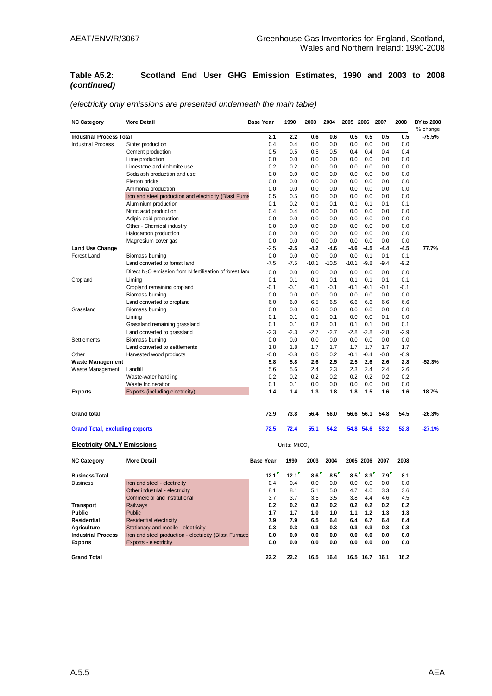#### **Table A5.2: Scotland End User GHG Emission Estimates, 1990 and 2003 to 2008**  *(continued)*

| <b>NC Category</b>                    | <b>More Detail</b>                                        | <b>Base Year</b> | 1990                     | 2003    | 2004    | 2005 2006 |           | 2007   | 2008   | BY to 2008<br>% change |
|---------------------------------------|-----------------------------------------------------------|------------------|--------------------------|---------|---------|-----------|-----------|--------|--------|------------------------|
| <b>Industrial Process Total</b>       |                                                           | 2.1              | 2.2                      | 0.6     | 0.6     | 0.5       | 0.5       | 0.5    | 0.5    | $-75.5%$               |
| <b>Industrial Process</b>             | Sinter production                                         | 0.4              | 0.4                      | 0.0     | 0.0     | 0.0       | 0.0       | 0.0    | 0.0    |                        |
|                                       | Cement production                                         | 0.5              | 0.5                      | 0.5     | 0.5     | 0.4       | 0.4       | 0.4    | 0.4    |                        |
|                                       | Lime production                                           | 0.0              | 0.0                      | 0.0     | 0.0     | 0.0       | 0.0       | 0.0    | 0.0    |                        |
|                                       | Limestone and dolomite use                                | 0.2              | 0.2                      | 0.0     | 0.0     | 0.0       | 0.0       | 0.0    | 0.0    |                        |
|                                       | Soda ash production and use                               | 0.0              | 0.0                      | 0.0     | 0.0     | 0.0       | 0.0       | 0.0    | 0.0    |                        |
|                                       | Fletton bricks                                            | 0.0              | 0.0                      | 0.0     | 0.0     | 0.0       | 0.0       | 0.0    | 0.0    |                        |
|                                       | Ammonia production                                        | 0.0              | 0.0                      | 0.0     | 0.0     | 0.0       | 0.0       | 0.0    | 0.0    |                        |
|                                       | Iron and steel production and electricity (Blast Furna    | 0.5              | 0.5                      | 0.0     | 0.0     | 0.0       | 0.0       | 0.0    | 0.0    |                        |
|                                       | Aluminium production                                      | 0.1              | 0.2                      | 0.1     | 0.1     | 0.1       | 0.1       | 0.1    | 0.1    |                        |
|                                       | Nitric acid production                                    | 0.4              | 0.4                      | 0.0     | 0.0     | 0.0       | 0.0       | 0.0    | 0.0    |                        |
|                                       | Adipic acid production                                    | 0.0              | 0.0                      | 0.0     | 0.0     | 0.0       | 0.0       | 0.0    | 0.0    |                        |
|                                       | Other - Chemical industry                                 | 0.0              | 0.0                      | 0.0     | 0.0     | 0.0       | 0.0       | 0.0    | 0.0    |                        |
|                                       | Halocarbon production                                     | 0.0              | 0.0                      | 0.0     | 0.0     | 0.0       | 0.0       | 0.0    | 0.0    |                        |
|                                       | Magnesium cover gas                                       | 0.0              | 0.0                      | 0.0     | 0.0     | 0.0       | 0.0       | 0.0    | 0.0    |                        |
| Land Use Change                       |                                                           | $-2.5$           | $-2.5$                   | -4.2    | -4.6    | -4.6      | $-4.5$    | $-4.4$ | $-4.5$ | 77.7%                  |
| Forest Land                           | Biomass burning                                           | 0.0              | 0.0                      | 0.0     | 0.0     | 0.0       | 0.1       | 0.1    | 0.1    |                        |
|                                       | Land converted to forest land                             | $-7.5$           | $-7.5$                   | $-10.1$ | $-10.5$ | $-10.1$   | $-9.8$    | $-9.4$ | $-9.2$ |                        |
|                                       | Direct $N2O$ emission from N fertilisation of forest land | 0.0              | 0.0                      | 0.0     | 0.0     | 0.0       | 0.0       | 0.0    | 0.0    |                        |
| Cropland                              | Liming                                                    | 0.1              | 0.1                      | 0.1     | 0.1     | 0.1       | 0.1       | 0.1    | 0.1    |                        |
|                                       | Cropland remaining cropland                               | $-0.1$           | $-0.1$                   | -0.1    | -0.1    | $-0.1$    | $-0.1$    | $-0.1$ | $-0.1$ |                        |
|                                       | Biomass burning                                           | 0.0              | 0.0                      | 0.0     | 0.0     | 0.0       | 0.0       | 0.0    | 0.0    |                        |
|                                       | Land converted to cropland                                | 6.0              | 6.0                      | 6.5     | 6.5     | 6.6       | 6.6       | 6.6    | 6.6    |                        |
| Grassland                             | Biomass burning                                           | 0.0              | 0.0                      | 0.0     | 0.0     | 0.0       | 0.0       | 0.0    | 0.0    |                        |
|                                       | Liming                                                    | 0.1              | 0.1                      | 0.1     | 0.1     | 0.0       | 0.0       | 0.1    | 0.0    |                        |
|                                       | Grassland remaining grassland                             | 0.1              | 0.1                      | 0.2     | 0.1     | 0.1       | 0.1       | 0.0    | 0.1    |                        |
|                                       | Land converted to grassland                               | $-2.3$           | $-2.3$                   | $-2.7$  | $-2.7$  | $-2.8$    | $-2.8$    | $-2.8$ | $-2.9$ |                        |
| Settlements                           | Biomass burning                                           | 0.0              | 0.0                      | 0.0     | 0.0     | 0.0       | 0.0       | 0.0    | 0.0    |                        |
|                                       | Land converted to settlements                             | 1.8              | 1.8                      | 1.7     | 1.7     | 1.7       | 1.7       | 1.7    | 1.7    |                        |
| Other                                 | Harvested wood products                                   | $-0.8$           | $-0.8$                   | 0.0     | 0.2     | $-0.1$    | $-0.4$    | $-0.8$ | $-0.9$ |                        |
| <b>Waste Management</b>               |                                                           | 5.8              | 5.8                      | 2.6     | 2.5     | 2.5       | 2.6       | 2.6    | 2.8    | $-52.3%$               |
| Waste Management                      | Landfill                                                  | 5.6              | 5.6                      | 2.4     | 2.3     | 2.3       | 2.4       | 2.4    | 2.6    |                        |
|                                       | Waste-water handling                                      | 0.2              | 0.2                      | 0.2     | 0.2     | 0.2       | 0.2       | 0.2    | 0.2    |                        |
|                                       | Waste Incineration                                        | 0.1              | 0.1                      | 0.0     | 0.0     | 0.0       | 0.0       | 0.0    | 0.0    |                        |
| <b>Exports</b>                        | Exports (including electricity)                           | 1.4              | 1.4                      | 1.3     | 1.8     | 1.8       | 1.5       | 1.6    | 1.6    | 18.7%                  |
|                                       |                                                           |                  |                          |         |         |           |           |        |        |                        |
| <b>Grand total</b>                    |                                                           | 73.9             | 73.8                     | 56.4    | 56.0    | 56.6      | 56.1      | 54.8   | 54.5   | -26.3%                 |
| <b>Grand Total, excluding exports</b> |                                                           | 72.5             | 72.4                     | 55.1    | 54.2    |           | 54.8 54.6 | 53.2   | 52.8   | $-27.1%$               |
| <b>Electricity ONLY Emissions</b>     |                                                           |                  | Units: MtCO <sub>2</sub> |         |         |           |           |        |        |                        |
| <b>NC Category</b>                    | <b>More Detail</b>                                        | <b>Base Year</b> | 1990                     | 2003    | 2004    |           | 2005 2006 | 2007   | 2008   |                        |
| <b>Business Total</b>                 |                                                           | 12.1             | $12.1$ <sup>r</sup>      | 8.6     | 8.5''   | 8.5''     | 8.3       | 7.9'   | 8.1    |                        |
| <b>Business</b>                       | Iron and steel - electricity                              | 0.4              | 0.4                      | 0.0     | 0.0     | 0.0       | 0.0       | 0.0    | 0.0    |                        |
|                                       | Other industrial - electricity                            | 8.1              | 8.1                      | 5.1     | 5.0     | 4.7       | 4.0       | 3.3    | 3.6    |                        |
|                                       | Commercial and institutional                              | 3.7              | 3.7                      | 3.5     | 3.5     | 3.8       | 4.4       | 4.6    | 4.5    |                        |
| <b>Transport</b>                      | Railways                                                  | 0.2              | 0.2                      | 0.2     | 0.2     | 0.2       | 0.2       | 0.2    | 0.2    |                        |
| <b>Public</b>                         | Public                                                    | 1.7              | 1.7                      | 1.0     | 1.0     | 1.1       | 1.2       | 1.3    | 1.3    |                        |

**Residential** Residential electricity **7.9 7.9 6.5 6.4 6.4 6.7 6.4 6.4 Agriculture** Stationary and mobile - electricity **0.3 0.3 0.3 0.3 0.3 0.3 0.3 0.3**

**Exports** Exports - electricity **0.0 0.0 0.0 0.0 0.0 0.0 0.0 0.0 Grand Total 22.2 22.2 16.5 16.4 16.5 16.7 16.1 16.2**

**Industrial Process** Iron and steel production - electricity (Blast Furnaces) **0.0 0.0 0.0 0.0 0.0 0.0 0.0 0.0**

#### *(electricity only emissions are presented underneath the main table)*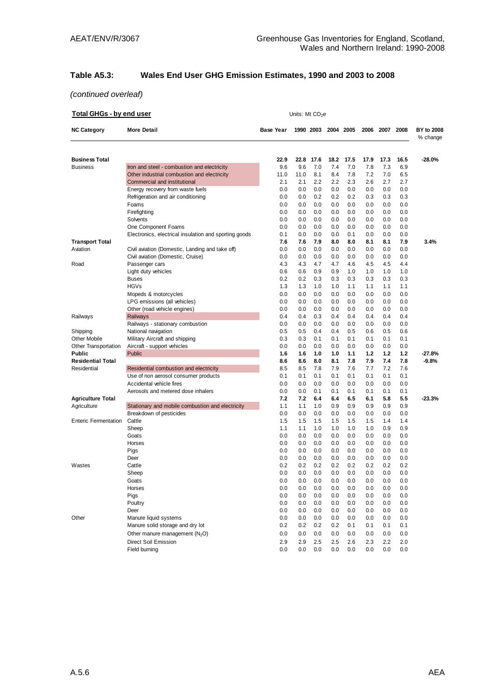# **Table A5.3: Wales End User GHG Emission Estimates, 1990 and 2003 to 2008**

| Total GHGs - by end user |                                                                  |                  | Units: Mt CO <sub>2</sub> e |            |            |            |            |            |            |                        |
|--------------------------|------------------------------------------------------------------|------------------|-----------------------------|------------|------------|------------|------------|------------|------------|------------------------|
| <b>NC Category</b>       | <b>More Detail</b>                                               | <b>Base Year</b> |                             | 1990 2003  |            | 2004 2005  | 2006       |            | 2007 2008  | BY to 2008<br>% change |
| Business Total           |                                                                  | 22.9             | 22.8                        | 17.6       | 18.2       | 17.5       | 17.9       | 17.3       | 16.5       | $-28.0%$               |
| Business                 | Iron and steel - combustion and electricity                      | 9.6              | 9.6                         | 7.0        | 7.4        | 7.0        | 7.8        | 7.3        | 6.9        |                        |
|                          | Other industrial combustion and electricity                      | 11.0             | 11.0                        | 8.1        | 8.4        | 7.8        | 7.2        | 7.0        | 6.5        |                        |
|                          | Commercial and institutional                                     | 2.1              | 2.1                         | 2.2        | 2.2        | 2.3        | 2.6        | 2.7        | 2.7        |                        |
|                          | Energy recovery from waste fuels                                 | 0.0              | 0.0                         | 0.0        | 0.0        | 0.0        | 0.0        | 0.0        | 0.0        |                        |
|                          | Refrigeration and air conditioning                               | 0.0              | 0.0                         | 0.2        | 0.2        | 0.2        | 0.3        | 0.3        | 0.3        |                        |
|                          | Foams                                                            | 0.0              | 0.0                         | 0.0        | 0.0        | 0.0        | 0.0        | 0.0        | 0.0        |                        |
|                          | Firefighting                                                     | 0.0              | 0.0                         | 0.0        | 0.0        | 0.0        | 0.0        | 0.0        | 0.0        |                        |
|                          | Solvents                                                         | 0.0              | 0.0                         | 0.0        | 0.0        | 0.0        | 0.0        | 0.0        | 0.0        |                        |
|                          | One Component Foams                                              | 0.0              | 0.0                         | 0.0        | 0.0        | 0.0        | 0.0        | 0.0        | 0.0        |                        |
|                          | Electronics, electrical insulation and sporting goods            | 0.1              | 0.0                         | 0.0        | 0.0        | 0.1        | 0.0        | 0.0        | 0.0        |                        |
| <b>Transport Total</b>   |                                                                  | 7.6              | 7.6                         | 7.9        | 8.0        | 8.0        | 8.1        | 8.1        | 7.9        | 3.4%                   |
| Aviation                 | Civil aviation (Domestic, Landing and take off)                  | 0.0              | 0.0                         | 0.0        | 0.0        | 0.0        | 0.0        | 0.0        | 0.0        |                        |
|                          | Civil aviation (Domestic, Cruise)                                | 0.0              | 0.0                         | 0.0        | 0.0        | 0.0        | 0.0        | 0.0        | 0.0        |                        |
| Road                     | Passenger cars                                                   | 4.3              | 4.3                         | 4.7        | 4.7        | 4.6        | 4.5        | 4.5        | 4.4        |                        |
|                          | Light duty vehicles                                              | 0.6              | 0.6                         | 0.9        | 0.9        | 1.0        | 1.0        | 1.0        | 1.0        |                        |
|                          | <b>Buses</b>                                                     | 0.2              | 0.2                         | 0.3        | 0.3        | 0.3        | 0.3        | 0.3        | 0.3        |                        |
|                          | <b>HGVs</b>                                                      | 1.3              | 1.3                         | 1.0        | 1.0        | 1.1        | 1.1        | 1.1        | 1.1        |                        |
|                          | Mopeds & motorcycles                                             | 0.0              | 0.0                         | 0.0        | 0.0        | 0.0        | 0.0        | 0.0        | 0.0        |                        |
|                          | LPG emissions (all vehicles)                                     | 0.0              | 0.0                         | 0.0        | 0.0        | 0.0        | 0.0        | 0.0        | 0.0        |                        |
|                          | Other (road vehicle engines)                                     | 0.0              | 0.0                         | 0.0        | 0.0        | 0.0        | 0.0        | 0.0        | 0.0        |                        |
| Railways                 | Railways                                                         | 0.4              | 0.4                         | 0.3        | 0.4        | 0.4        | 0.4        | 0.4        | 0.4        |                        |
|                          | Railways - stationary combustion                                 | 0.0              | 0.0                         | 0.0        | 0.0        | 0.0        | 0.0        | 0.0        | 0.0        |                        |
| Shipping                 | National navigation                                              | 0.5              | 0.5                         | 0.4        | 0.4        | 0.5        | 0.6        | 0.5        | 0.6        |                        |
| Other Mobile             | Military Aircraft and shipping                                   | 0.3              | 0.3                         | 0.1        | 0.1        | 0.1        | 0.1        | 0.1        | 0.1        |                        |
| Other Transportation     | Aircraft - support vehicles                                      | 0.0              | 0.0                         | 0.0        | 0.0        | 0.0        | 0.0        | 0.0        | 0.0        |                        |
| Public                   | Public                                                           | 1.6              | 1.6                         | 1.0        | 1.0        | 1.1        | 1.2        | 1.2        | 1.2        | -27.8%                 |
| Residential Total        |                                                                  | 8.6              | 8.6                         | 8.0        | 8.1        | 7.8        | 7.9        | 7.4        | 7.8        | $-9.8%$                |
| Residential              | Residential combustion and electricity                           | 8.5              | 8.5                         | 7.8        | 7.9        | 7.6        | 7.7        | 7.2        | 7.6        |                        |
|                          | Use of non aerosol consumer products<br>Accidental vehicle fires | 0.1<br>0.0       | 0.1                         | 0.1<br>0.0 | 0.1<br>0.0 | 0.1        | 0.1        | 0.1<br>0.0 | 0.1        |                        |
|                          | Aerosols and metered dose inhalers                               | 0.0              | 0.0<br>0.0                  | 0.1        | 0.1        | 0.0<br>0.1 | 0.0<br>0.1 | 0.1        | 0.0<br>0.1 |                        |
| <b>Agriculture Total</b> |                                                                  | 7.2              | 7.2                         | 6.4        | 6.4        | 6.5        | 6.1        | 5.8        | 5.5        | -23.3%                 |
| Agriculture              | Stationary and mobile combustion and electricity                 | 1.1              | 1.1                         | 1.0        | 0.9        | 0.9        | 0.9        | 0.9        | 0.9        |                        |
|                          | Breakdown of pesticides                                          | 0.0              | 0.0                         | 0.0        | 0.0        | 0.0        | 0.0        | 0.0        | 0.0        |                        |
| Enteric Fermentation     | Cattle                                                           | 1.5              | 1.5                         | 1.5        | 1.5        | 1.5        | 1.5        | 1.4        | 1.4        |                        |
|                          | Sheep                                                            | 1.1              | 1.1                         | 1.0        | 1.0        | 1.0        | 1.0        | 0.9        | 0.9        |                        |
|                          | Goats                                                            | 0.0              | 0.0                         | 0.0        | 0.0        | 0.0        | 0.0        | 0.0        | 0.0        |                        |
|                          | Horses                                                           | 0.0              | 0.0                         | 0.0        | 0.0        | 0.0        | 0.0        | 0.0        | 0.0        |                        |
|                          | Pigs                                                             | 0.0              | 0.0                         | 0.0        | 0.0        | 0.0        | 0.0        | 0.0        | 0.0        |                        |
|                          | Deer                                                             | 0.0              | 0.0                         | 0.0        | 0.0        | 0.0        | 0.0        | 0.0        | 0.0        |                        |
| Wastes                   | Cattle                                                           | 0.2              | 0.2                         | 0.2        | 0.2        | 0.2        | 0.2        | 0.2        | 0.2        |                        |
|                          | Sheep                                                            | 0.0              | 0.0                         | 0.0        | 0.0        | 0.0        | 0.0        | 0.0        | 0.0        |                        |
|                          | Goats                                                            | 0.0              | 0.0                         | 0.0        | 0.0        | 0.0        | 0.0        | 0.0        | 0.0        |                        |
|                          | Horses                                                           | 0.0              | 0.0                         | 0.0        | 0.0        | 0.0        | 0.0        | 0.0        | 0.0        |                        |
|                          | Pigs                                                             | 0.0              | 0.0                         | 0.0        | 0.0        | 0.0        | 0.0        | 0.0        | 0.0        |                        |
|                          | Poultry                                                          | 0.0              | 0.0                         | 0.0        | 0.0        | 0.0        | 0.0        | 0.0        | 0.0        |                        |
|                          | Deer                                                             | 0.0              | 0.0                         | 0.0        | 0.0        | 0.0        | 0.0        | 0.0        | 0.0        |                        |
| Other                    | Manure liquid systems                                            | 0.0              | 0.0                         | 0.0        | 0.0        | 0.0        | 0.0        | 0.0        | 0.0        |                        |
|                          | Manure solid storage and dry lot                                 | 0.2              | 0.2                         | 0.2        | 0.2        | 0.1        | 0.1        | 0.1        | 0.1        |                        |
|                          | Other manure management (N <sub>2</sub> O)                       | 0.0              | 0.0                         | 0.0        | 0.0        | 0.0        | 0.0        | 0.0        | 0.0        |                        |
|                          | <b>Direct Soil Emission</b>                                      | 2.9              | 2.9                         | 2.5        | 2.5        | 2.6        | 2.3        | 2.2        | 2.0        |                        |
|                          | Field burning                                                    | 0.0              | 0.0                         | 0.0        | 0.0        | 0.0        | 0.0        | 0.0        | 0.0        |                        |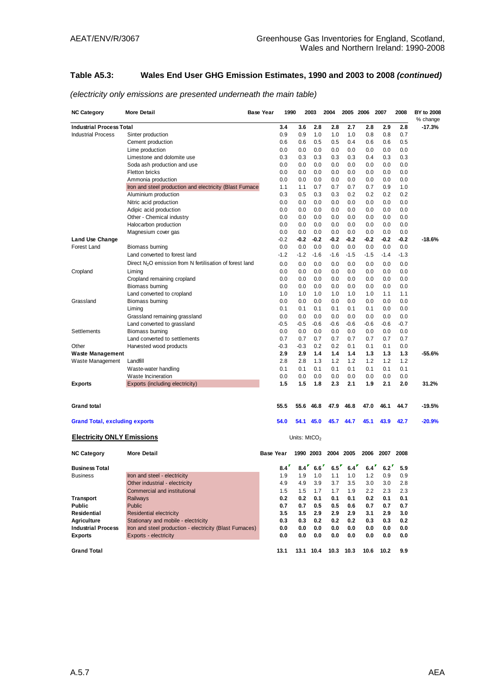## **Table A5.3: Wales End User GHG Emission Estimates, 1990 and 2003 to 2008** *(continued)*

| <b>NC Category</b>                    | <b>More Detail</b>                                        | <b>Base Year</b> | 1990   |                | 2003      | 2004   |           | 2005 2006 | 2007   | 2008   | BY to 2008<br>% change |
|---------------------------------------|-----------------------------------------------------------|------------------|--------|----------------|-----------|--------|-----------|-----------|--------|--------|------------------------|
| <b>Industrial Process Total</b>       |                                                           |                  | 3.4    | 3.6            | 2.8       | 2.8    | 2.7       | 2.8       | 2.9    | 2.8    | $-17.3%$               |
| <b>Industrial Process</b>             | Sinter production                                         |                  | 0.9    | 0.9            | 1.0       | 1.0    | 1.0       | 0.8       | 0.8    | 0.7    |                        |
|                                       | Cement production                                         |                  | 0.6    | 0.6            | 0.5       | 0.5    | 0.4       | 0.6       | 0.6    | 0.5    |                        |
|                                       | Lime production                                           |                  | 0.0    | 0.0            | 0.0       | 0.0    | 0.0       | 0.0       | 0.0    | 0.0    |                        |
|                                       | Limestone and dolomite use                                |                  | 0.3    | 0.3            | 0.3       | 0.3    | 0.3       | 0.4       | 0.3    | 0.3    |                        |
|                                       | Soda ash production and use                               |                  | 0.0    | 0.0            | 0.0       | 0.0    | 0.0       | 0.0       | 0.0    | 0.0    |                        |
|                                       | <b>Fletton bricks</b>                                     |                  | 0.0    | 0.0            | 0.0       | 0.0    | 0.0       | 0.0       | 0.0    | 0.0    |                        |
|                                       | Ammonia production                                        |                  | 0.0    | 0.0            | 0.0       | 0.0    | 0.0       | 0.0       | 0.0    | 0.0    |                        |
|                                       | Iron and steel production and electricity (Blast Furnace: |                  | 1.1    | 1.1            | 0.7       | 0.7    | 0.7       | 0.7       | 0.9    | 1.0    |                        |
|                                       | Aluminium production                                      |                  | 0.3    | 0.5            | 0.3       | 0.3    | 0.2       | 0.2       | 0.2    | 0.2    |                        |
|                                       | Nitric acid production                                    |                  | 0.0    | 0.0            | 0.0       | 0.0    | 0.0       | 0.0       | 0.0    | 0.0    |                        |
|                                       | Adipic acid production                                    |                  | 0.0    | 0.0            | 0.0       | 0.0    | 0.0       | 0.0       | 0.0    | 0.0    |                        |
|                                       | Other - Chemical industry                                 |                  | 0.0    | 0.0            | 0.0       | 0.0    | 0.0       | 0.0       | 0.0    | 0.0    |                        |
|                                       | Halocarbon production                                     |                  | 0.0    | 0.0            | 0.0       | 0.0    | 0.0       | 0.0       | 0.0    | 0.0    |                        |
|                                       | Magnesium cover gas                                       |                  | 0.0    | 0.0            | 0.0       | 0.0    | 0.0       | 0.0       | 0.0    | 0.0    |                        |
| Land Use Change                       |                                                           |                  | $-0.2$ | -0.2           | $-0.2$    | -0.2   | -0.2      | -0.2      | $-0.2$ | $-0.2$ | $-18.6%$               |
| Forest Land                           | Biomass burning                                           |                  | 0.0    | 0.0            | 0.0       | 0.0    | 0.0       | 0.0       | 0.0    | 0.0    |                        |
|                                       | Land converted to forest land                             |                  | $-1.2$ | $-1.2$         | $-1.6$    | $-1.6$ | $-1.5$    | $-1.5$    | $-1.4$ | $-1.3$ |                        |
|                                       | Direct $N2O$ emission from N fertilisation of forest land |                  | 0.0    | 0.0            | 0.0       | 0.0    | 0.0       | 0.0       | 0.0    | 0.0    |                        |
| Cropland                              | Liming                                                    |                  | 0.0    | 0.0            | 0.0       | 0.0    | 0.0       | 0.0       | 0.0    | 0.0    |                        |
|                                       | Cropland remaining cropland                               |                  | 0.0    | 0.0            | 0.0       | 0.0    | 0.0       | 0.0       | 0.0    | 0.0    |                        |
|                                       | Biomass burning                                           |                  | 0.0    | 0.0            | 0.0       | 0.0    | 0.0       | 0.0       | 0.0    | 0.0    |                        |
|                                       | Land converted to cropland                                |                  | 1.0    | 1.0            | 1.0       | 1.0    | 1.0       | 1.0       | 1.1    | 1.1    |                        |
| Grassland                             | Biomass burning                                           |                  | 0.0    | 0.0            | 0.0       | 0.0    | 0.0       | 0.0       | 0.0    | 0.0    |                        |
|                                       | Liming                                                    |                  | 0.1    | 0.1            | 0.1       | 0.1    | 0.1       | 0.1       | 0.0    | 0.0    |                        |
|                                       | Grassland remaining grassland                             |                  | 0.0    | 0.0            | 0.0       | 0.0    | 0.0       | 0.0       | 0.0    | 0.0    |                        |
|                                       | Land converted to grassland                               |                  | $-0.5$ | $-0.5$         | $-0.6$    | $-0.6$ | $-0.6$    | $-0.6$    | $-0.6$ | $-0.7$ |                        |
| Settlements                           | Biomass burning                                           |                  | 0.0    | 0.0            | 0.0       | 0.0    | 0.0       | 0.0       | 0.0    | 0.0    |                        |
|                                       | Land converted to settlements                             |                  | 0.7    | 0.7            | 0.7       | 0.7    | 0.7       | 0.7       | 0.7    | 0.7    |                        |
| Other                                 | Harvested wood products                                   |                  | $-0.3$ | $-0.3$         | 0.2       | 0.2    | 0.1       | 0.1       | 0.1    | 0.0    |                        |
| Waste Management                      |                                                           |                  | 2.9    | 2.9            | 1.4       | 1.4    | 1.4       | 1.3       | 1.3    | 1.3    | $-55.6%$               |
| Waste Management                      | Landfill                                                  |                  | 2.8    | 2.8            | 1.3       | 1.2    | 1.2       | 1.2       | 1.2    | 1.2    |                        |
|                                       | Waste-water handling                                      |                  | 0.1    | 0.1            | 0.1       | 0.1    | 0.1       | 0.1       | 0.1    | 0.1    |                        |
|                                       | Waste Incineration                                        |                  | 0.0    | 0.0            | 0.0       | 0.0    | 0.0       | 0.0       | 0.0    | 0.0    |                        |
| Exports                               | Exports (including electricity)                           |                  | 1.5    | 1.5            | 1.8       | 2.3    | 2.1       | 1.9       | 2.1    | 2.0    | 31.2%                  |
|                                       |                                                           |                  |        |                |           |        |           |           |        |        |                        |
| <b>Grand total</b>                    |                                                           |                  | 55.5   | 55.6           | 46.8      | 47.9   | 46.8      | 47.0      | 46.1   | 44.7   | $-19.5%$               |
| <b>Grand Total, excluding exports</b> |                                                           |                  | 54.0   |                | 54.1 45.0 | 45.7   | 44.7      | 45.1      | 43.9   | 42.7   | $-20.9%$               |
| <b>Electricity ONLY Emissions</b>     |                                                           |                  |        | Units: $MtCO2$ |           |        |           |           |        |        |                        |
| NC Category                           | <b>More Detail</b>                                        | <b>Base Year</b> |        | 1990 2003      |           |        | 2004 2005 | 2006      | 2007   | 2008   |                        |
| <b>Business Total</b>                 |                                                           |                  | 8.4    | 8.4            | 6.6       | 6.5    | 6.4       | 6.4       | 6.2    | 5.9    |                        |
| <b>Business</b>                       | Iron and steel - electricity                              |                  | 1.9    | 1.9            | 1.0       | 1.1    | 1.0       | 1.2       | 0.9    | 0.9    |                        |
|                                       | Other industrial - electricity                            |                  | 4.9    | 4.9            | 3.9       | 3.7    | 3.5       | 3.0       | 3.0    | 2.8    |                        |
|                                       | Commercial and institutional                              |                  | 1.5    | 1.5            | 1.7       | 1.7    | 1.9       | 2.2       | 2.3    | 2.3    |                        |
| <b>Transport</b>                      | <b>Railways</b>                                           |                  | 0.2    | 0.2            | 0.1       | 0.1    | 0.1       | 0.2       | 0.1    | 0.1    |                        |
| Public                                | Public                                                    |                  | 0.7    | 0.7            | 0.5       | 0.5    | 0.6       | 0.7       | 0.7    | 0.7    |                        |
| Residential                           | <b>Residential electricity</b>                            |                  | 3.5    | 3.5            | 2.9       | 2.9    | 2.9       | 3.1       | 2.9    | 3.0    |                        |
| <b>Agriculture</b>                    | Stationary and mobile - electricity                       |                  | 0.3    | 0.3            | 0.2       | 0.2    | 0.2       | 0.3       | 0.3    | 0.2    |                        |
| <b>Industrial Process</b>             | Iron and steel production - electricity (Blast Furnaces)  |                  | 0.0    | 0.0            | 0.0       | 0.0    | 0.0       | 0.0       | 0.0    | 0.0    |                        |
| <b>Exports</b>                        | Exports - electricity                                     |                  | 0.0    | 0.0            | 0.0       | 0.0    | 0.0       | 0.0       | 0.0    | 0.0    |                        |
| <b>Grand Total</b>                    |                                                           |                  | 13.1   |                | 13.1 10.4 |        | 10.3 10.3 | 10.6      | 10.2   | 9.9    |                        |

*(electricity only emissions are presented underneath the main table)*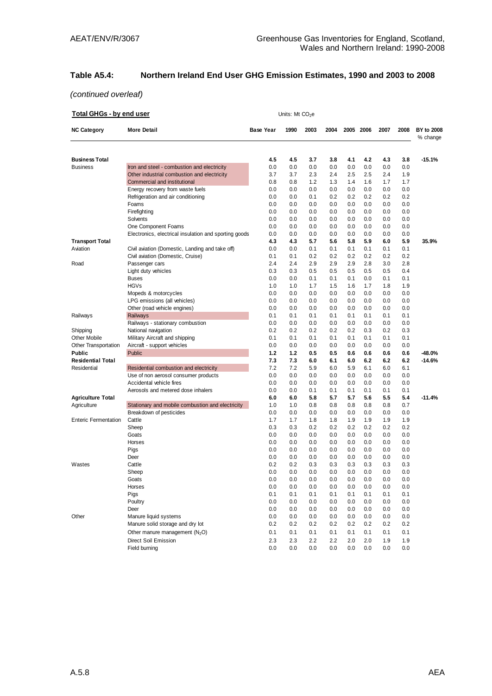## **Table A5.4: Northern Ireland End User GHG Emission Estimates, 1990 and 2003 to 2008**

| <b>Total GHGs - by end user</b> |                                                       |                  | Units: Mt $CO2e$ |      |      |      |      |      |         |                               |
|---------------------------------|-------------------------------------------------------|------------------|------------------|------|------|------|------|------|---------|-------------------------------|
| <b>NC Category</b>              | <b>More Detail</b>                                    | <b>Base Year</b> | 1990             | 2003 | 2004 | 2005 | 2006 | 2007 | 2008    | <b>BY to 2008</b><br>% change |
| <b>Business Total</b>           |                                                       | 4.5              | 4.5              | 3.7  | 3.8  | 4.1  | 4.2  | 4.3  | 3.8     | $-15.1%$                      |
| Business                        | Iron and steel - combustion and electricity           | 0.0              | 0.0              | 0.0  | 0.0  | 0.0  | 0.0  | 0.0  | 0.0     |                               |
|                                 | Other industrial combustion and electricity           | 3.7              | 3.7              | 2.3  | 2.4  | 2.5  | 2.5  | 2.4  | 1.9     |                               |
|                                 | Commercial and institutional                          | 0.8              | 0.8              | 1.2  | 1.3  | 1.4  | 1.6  | 1.7  | 1.7     |                               |
|                                 | Energy recovery from waste fuels                      | 0.0              | 0.0              | 0.0  | 0.0  | 0.0  | 0.0  | 0.0  | 0.0     |                               |
|                                 | Refrigeration and air conditioning                    | 0.0              | 0.0              | 0.1  | 0.2  | 0.2  | 0.2  | 0.2  | 0.2     |                               |
|                                 | Foams                                                 | 0.0              | 0.0              | 0.0  | 0.0  | 0.0  | 0.0  | 0.0  | 0.0     |                               |
|                                 | Firefighting                                          | 0.0              | 0.0              | 0.0  | 0.0  | 0.0  | 0.0  | 0.0  | 0.0     |                               |
|                                 | Solvents                                              | 0.0              | 0.0              | 0.0  | 0.0  | 0.0  | 0.0  | 0.0  | 0.0     |                               |
|                                 | One Component Foams                                   | 0.0              | 0.0              | 0.0  | 0.0  | 0.0  | 0.0  | 0.0  | 0.0     |                               |
|                                 | Electronics, electrical insulation and sporting goods | 0.0              | 0.0              | 0.0  | 0.0  | 0.0  | 0.0  | 0.0  | 0.0     |                               |
| <b>Transport Total</b>          |                                                       | 4.3              | 4.3              | 5.7  | 5.6  | 5.8  | 5.9  | 6.0  | 5.9     | 35.9%                         |
| Aviation                        | Civil aviation (Domestic, Landing and take off)       | 0.0              | 0.0              | 0.1  | 0.1  | 0.1  | 0.1  | 0.1  | 0.1     |                               |
|                                 | Civil aviation (Domestic, Cruise)                     | 0.1              | 0.1              | 0.2  | 0.2  | 0.2  | 0.2  | 0.2  | 0.2     |                               |
| Road                            | Passenger cars                                        | 2.4              | 2.4              | 2.9  | 2.9  | 2.9  | 2.8  | 3.0  | 2.8     |                               |
|                                 | Light duty vehicles                                   | 0.3              | 0.3              | 0.5  | 0.5  | 0.5  | 0.5  | 0.5  | 0.4     |                               |
|                                 | <b>Buses</b>                                          | 0.0              | 0.0              | 0.1  | 0.1  | 0.1  | 0.0  | 0.1  | 0.1     |                               |
|                                 | <b>HGVs</b>                                           | 1.0              | 1.0              | 1.7  | 1.5  | 1.6  | 1.7  | 1.8  | 1.9     |                               |
|                                 | Mopeds & motorcycles                                  | 0.0              | 0.0              | 0.0  | 0.0  | 0.0  | 0.0  | 0.0  | 0.0     |                               |
|                                 | LPG emissions (all vehicles)                          | 0.0              | 0.0              | 0.0  | 0.0  | 0.0  | 0.0  | 0.0  | 0.0     |                               |
|                                 | Other (road vehicle engines)                          | 0.0              | 0.0              | 0.0  | 0.0  | 0.0  | 0.0  | 0.0  | 0.0     |                               |
| Railways                        | <b>Railways</b>                                       | 0.1              | 0.1              | 0.1  | 0.1  | 0.1  | 0.1  | 0.1  | 0.1     |                               |
|                                 | Railways - stationary combustion                      | 0.0              | 0.0              | 0.0  | 0.0  | 0.0  | 0.0  | 0.0  | 0.0     |                               |
| Shipping                        | National navigation                                   | 0.2              | 0.2              | 0.2  | 0.2  | 0.2  | 0.3  | 0.2  | 0.3     |                               |
| Other Mobile                    | Military Aircraft and shipping                        | 0.1              | 0.1              | 0.1  | 0.1  | 0.1  | 0.1  | 0.1  | 0.1     |                               |
| Other Transportation            | Aircraft - support vehicles                           | 0.0              | 0.0              | 0.0  | 0.0  | 0.0  | 0.0  | 0.0  | 0.0     |                               |
| Public                          | Public                                                | 1.2              | 1.2              | 0.5  | 0.5  | 0.6  | 0.6  | 0.6  | 0.6     | -48.0%                        |
| <b>Residential Total</b>        |                                                       | 7.3              | 7.3              | 6.0  | 6.1  | 6.0  | 6.2  | 6.2  | 6.2     | -14.6%                        |
| Residential                     | Residential combustion and electricity                | 7.2              | 7.2              | 5.9  | 6.0  | 5.9  | 6.1  | 6.0  | 6.1     |                               |
|                                 | Use of non aerosol consumer products                  | 0.0              | 0.0              | 0.0  | 0.0  | 0.0  | 0.0  | 0.0  | 0.0     |                               |
|                                 | Accidental vehicle fires                              | 0.0              | 0.0              | 0.0  | 0.0  | 0.0  | 0.0  | 0.0  | 0.0     |                               |
|                                 | Aerosols and metered dose inhalers                    | 0.0              | 0.0              | 0.1  | 0.1  | 0.1  | 0.1  | 0.1  | 0.1     |                               |
| <b>Agriculture Total</b>        |                                                       | 6.0              | 6.0              | 5.8  | 5.7  | 5.7  | 5.6  | 5.5  | 5.4     | $-11.4%$                      |
| Agriculture                     | Stationary and mobile combustion and electricity      | 1.0              | 1.0              | 0.8  | 0.8  | 0.8  | 0.8  | 0.8  | 0.7     |                               |
|                                 | Breakdown of pesticides                               | 0.0              | 0.0              | 0.0  | 0.0  | 0.0  | 0.0  | 0.0  | 0.0     |                               |
| <b>Enteric Fermentation</b>     | Cattle                                                | 1.7              | 1.7              | 1.8  | 1.8  | 1.9  | 1.9  | 1.9  | 1.9     |                               |
|                                 | Sheep                                                 | 0.3              | 0.3              | 0.2  | 0.2  | 0.2  | 0.2  | 0.2  | 0.2     |                               |
|                                 | Goats                                                 | 0.0              | 0.0              | 0.0  | 0.0  | 0.0  | 0.0  | 0.0  | 0.0     |                               |
|                                 | Horses                                                | 0.0              | 0.0              | 0.0  | 0.0  | 0.0  | 0.0  | 0.0  | 0.0     |                               |
|                                 | Pigs                                                  | 0.0              | 0.0              | 0.0  | 0.0  | 0.0  | 0.0  | 0.0  | 0.0     |                               |
|                                 | Deer                                                  | 0.0              | 0.0              | 0.0  | 0.0  | 0.0  | 0.0  | 0.0  | 0.0     |                               |
| Wastes                          | Cattle                                                | 0.2              | 0.2              | 0.3  | 0.3  | 0.3  | 0.3  | 0.3  | 0.3     |                               |
|                                 | Sheep                                                 | 0.0              | 0.0              | 0.0  | 0.0  | 0.0  | 0.0  | 0.0  | 0.0     |                               |
|                                 | Goats                                                 | 0.0              | 0.0              | 0.0  | 0.0  | 0.0  | 0.0  | 0.0  | $0.0\,$ |                               |
|                                 | Horses                                                | 0.0              | 0.0              | 0.0  | 0.0  | 0.0  | 0.0  | 0.0  | 0.0     |                               |
|                                 | Pigs                                                  | 0.1              | 0.1              | 0.1  | 0.1  | 0.1  | 0.1  | 0.1  | 0.1     |                               |
|                                 | Poultry                                               | 0.0              | 0.0              | 0.0  | 0.0  | 0.0  | 0.0  | 0.0  | 0.0     |                               |
|                                 | Deer                                                  | 0.0              | 0.0              | 0.0  | 0.0  | 0.0  | 0.0  | 0.0  | 0.0     |                               |
| Other                           | Manure liquid systems                                 | 0.0              | 0.0              | 0.0  | 0.0  | 0.0  | 0.0  | 0.0  | 0.0     |                               |
|                                 | Manure solid storage and dry lot                      | 0.2              | 0.2              | 0.2  | 0.2  | 0.2  | 0.2  | 0.2  | 0.2     |                               |
|                                 | Other manure management $(N_2O)$                      | 0.1              | 0.1              | 0.1  | 0.1  | 0.1  | 0.1  | 0.1  | 0.1     |                               |
|                                 | Direct Soil Emission                                  | 2.3              | 2.3              | 2.2  | 2.2  | 2.0  | 2.0  | 1.9  | 1.9     |                               |
|                                 | Field burning                                         | 0.0              | 0.0              | 0.0  | 0.0  | 0.0  | 0.0  | 0.0  | 0.0     |                               |